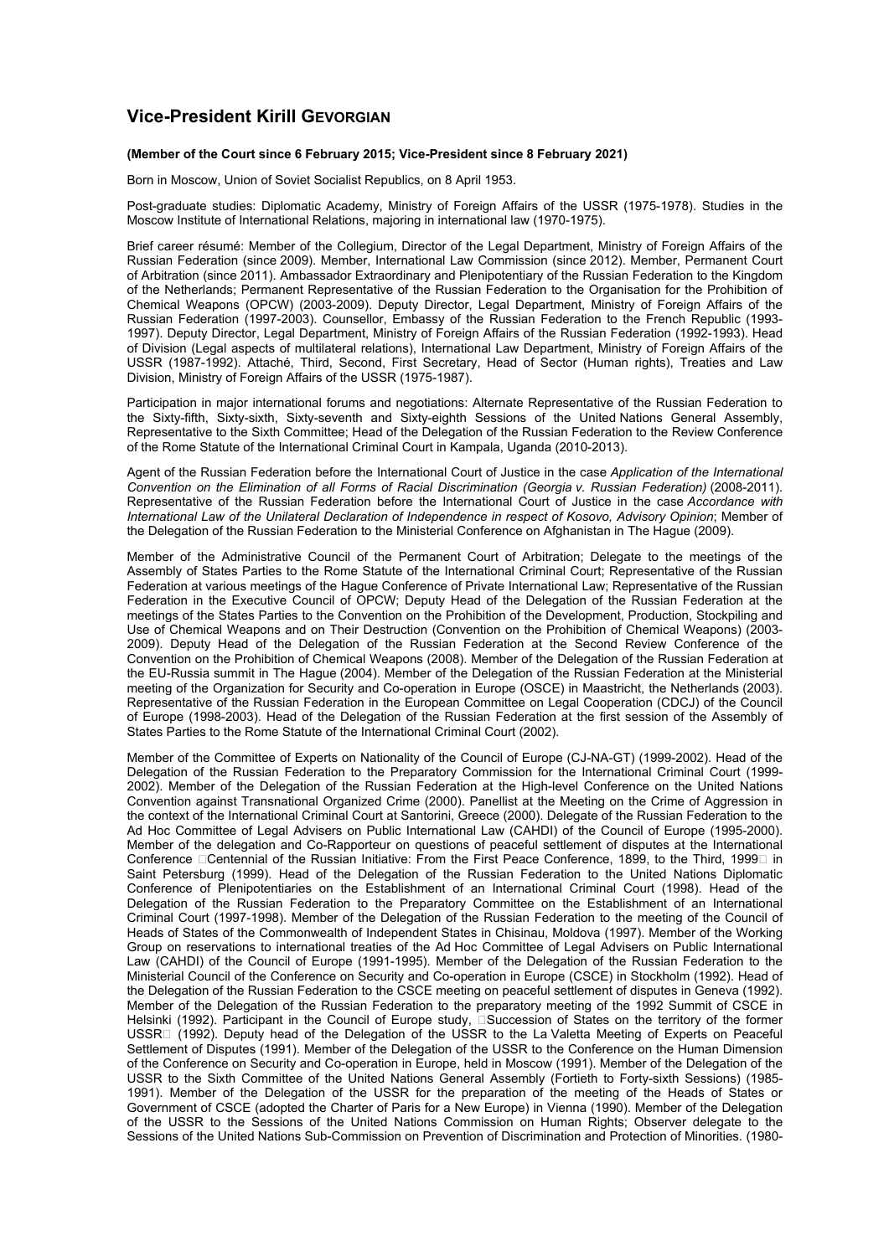## **Vice-President Kirill GEVORGIAN**

## **(Member of the Court since 6 February 2015; Vice-President since 8 February 2021)**

Born in Moscow, Union of Soviet Socialist Republics, on 8 April 1953.

Post-graduate studies: Diplomatic Academy, Ministry of Foreign Affairs of the USSR (1975-1978). Studies in the Moscow Institute of International Relations, majoring in international law (1970-1975).

Brief career résumé: Member of the Collegium, Director of the Legal Department, Ministry of Foreign Affairs of the Russian Federation (since 2009). Member, International Law Commission (since 2012). Member, Permanent Court of Arbitration (since 2011). Ambassador Extraordinary and Plenipotentiary of the Russian Federation to the Kingdom of the Netherlands; Permanent Representative of the Russian Federation to the Organisation for the Prohibition of Chemical Weapons (OPCW) (2003-2009). Deputy Director, Legal Department, Ministry of Foreign Affairs of the Russian Federation (1997-2003). Counsellor, Embassy of the Russian Federation to the French Republic (1993- 1997). Deputy Director, Legal Department, Ministry of Foreign Affairs of the Russian Federation (1992-1993). Head of Division (Legal aspects of multilateral relations), International Law Department, Ministry of Foreign Affairs of the USSR (1987-1992). Attaché, Third, Second, First Secretary, Head of Sector (Human rights), Treaties and Law Division, Ministry of Foreign Affairs of the USSR (1975-1987).

Participation in major international forums and negotiations: Alternate Representative of the Russian Federation to the Sixty-fifth, Sixty-sixth, Sixty-seventh and Sixty-eighth Sessions of the United Nations General Assembly, Representative to the Sixth Committee; Head of the Delegation of the Russian Federation to the Review Conference of the Rome Statute of the International Criminal Court in Kampala, Uganda (2010-2013).

Agent of the Russian Federation before the International Court of Justice in the case *Application of the International Convention on the Elimination of all Forms of Racial Discrimination (Georgia v. Russian Federation)* (2008-2011). Representative of the Russian Federation before the International Court of Justice in the case *Accordance with International Law of the Unilateral Declaration of Independence in respect of Kosovo, Advisory Opinion*; Member of the Delegation of the Russian Federation to the Ministerial Conference on Afghanistan in The Hague (2009).

Member of the Administrative Council of the Permanent Court of Arbitration; Delegate to the meetings of the Assembly of States Parties to the Rome Statute of the International Criminal Court; Representative of the Russian Federation at various meetings of the Hague Conference of Private International Law; Representative of the Russian Federation in the Executive Council of OPCW; Deputy Head of the Delegation of the Russian Federation at the meetings of the States Parties to the Convention on the Prohibition of the Development, Production, Stockpiling and Use of Chemical Weapons and on Their Destruction (Convention on the Prohibition of Chemical Weapons) (2003- 2009). Deputy Head of the Delegation of the Russian Federation at the Second Review Conference of the Convention on the Prohibition of Chemical Weapons (2008). Member of the Delegation of the Russian Federation at the EU-Russia summit in The Hague (2004). Member of the Delegation of the Russian Federation at the Ministerial meeting of the Organization for Security and Co-operation in Europe (OSCE) in Maastricht, the Netherlands (2003). Representative of the Russian Federation in the European Committee on Legal Cooperation (CDCJ) of the Council of Europe (1998-2003). Head of the Delegation of the Russian Federation at the first session of the Assembly of States Parties to the Rome Statute of the International Criminal Court (2002).

Member of the Committee of Experts on Nationality of the Council of Europe (CJ-NA-GT) (1999-2002). Head of the Delegation of the Russian Federation to the Preparatory Commission for the International Criminal Court (1999- 2002). Member of the Delegation of the Russian Federation at the High-level Conference on the United Nations Convention against Transnational Organized Crime (2000). Panellist at the Meeting on the Crime of Aggression in the context of the International Criminal Court at Santorini, Greece (2000). Delegate of the Russian Federation to the Ad Hoc Committee of Legal Advisers on Public International Law (CAHDI) of the Council of Europe (1995-2000). Member of the delegation and Co-Rapporteur on questions of peaceful settlement of disputes at the International Conference Dentennial of the Russian Initiative: From the First Peace Conference, 1899, to the Third, 1999D in Saint Petersburg (1999). Head of the Delegation of the Russian Federation to the United Nations Diplomatic Conference of Plenipotentiaries on the Establishment of an International Criminal Court (1998). Head of the Delegation of the Russian Federation to the Preparatory Committee on the Establishment of an International Criminal Court (1997-1998). Member of the Delegation of the Russian Federation to the meeting of the Council of Heads of States of the Commonwealth of Independent States in Chisinau, Moldova (1997). Member of the Working Group on reservations to international treaties of the Ad Hoc Committee of Legal Advisers on Public International Law (CAHDI) of the Council of Europe (1991-1995). Member of the Delegation of the Russian Federation to the Ministerial Council of the Conference on Security and Co-operation in Europe (CSCE) in Stockholm (1992). Head of the Delegation of the Russian Federation to the CSCE meeting on peaceful settlement of disputes in Geneva (1992). Member of the Delegation of the Russian Federation to the preparatory meeting of the 1992 Summit of CSCE in Helsinki (1992). Participant in the Council of Europe study, **Succession of States on the territory of the former** USSR<sub>[1992]</sub>. Deputy head of the Delegation of the USSR to the La Valetta Meeting of Experts on Peaceful Settlement of Disputes (1991). Member of the Delegation of the USSR to the Conference on the Human Dimension of the Conference on Security and Co-operation in Europe, held in Moscow (1991). Member of the Delegation of the USSR to the Sixth Committee of the United Nations General Assembly (Fortieth to Forty-sixth Sessions) (1985- 1991). Member of the Delegation of the USSR for the preparation of the meeting of the Heads of States or Government of CSCE (adopted the Charter of Paris for a New Europe) in Vienna (1990). Member of the Delegation of the USSR to the Sessions of the United Nations Commission on Human Rights; Observer delegate to the Sessions of the United Nations Sub-Commission on Prevention of Discrimination and Protection of Minorities. (1980-